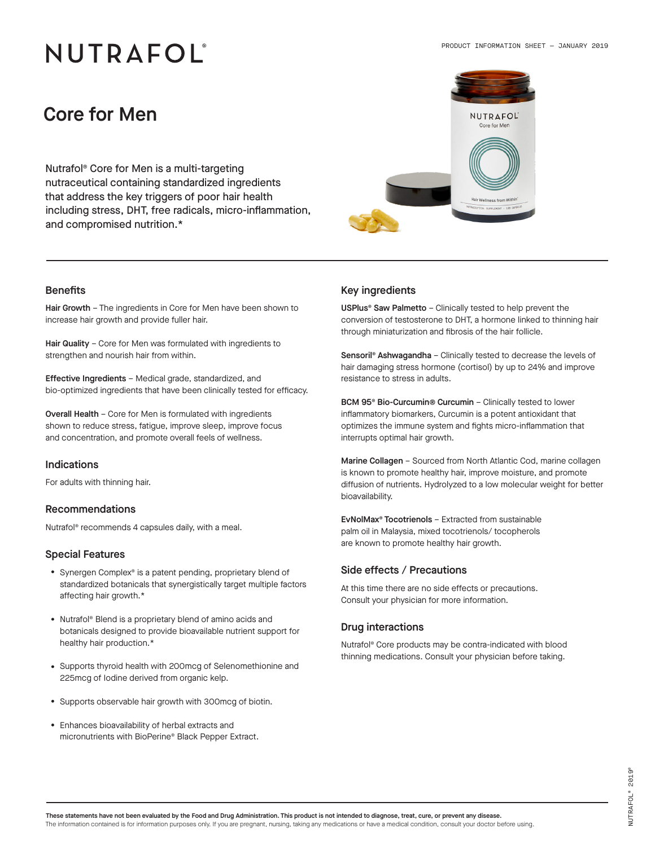# NUTRAFOL®

### Core for Men

Nutrafol® Core for Men is a multi-targeting nutraceutical containing standardized ingredients that address the key triggers of poor hair health including stress, DHT, free radicals, micro-inflammation, and compromised nutrition.\*



Hair Growth - The ingredients in Core for Men have been shown to increase hair growth and provide fuller hair.

Hair Quality - Core for Men was formulated with ingredients to strengthen and nourish hair from within.

Effective Ingredients – Medical grade, standardized, and bio-optimized ingredients that have been clinically tested for efficacy.

Overall Health – Core for Men is formulated with ingredients shown to reduce stress, fatigue, improve sleep, improve focus and concentration, and promote overall feels of wellness.

### Indications

For adults with thinning hair.

#### Recommendations

Nutrafol® recommends 4 capsules daily, with a meal.

#### Special Features

- Synergen Complex® is a patent pending, proprietary blend of standardized botanicals that synergistically target multiple factors affecting hair growth.\*
- Nutrafol® Blend is a proprietary blend of amino acids and botanicals designed to provide bioavailable nutrient support for healthy hair production.\*
- Supports thyroid health with 200mcg of Selenomethionine and 225mcg of Iodine derived from organic kelp.
- Supports observable hair growth with 300mcg of biotin.
- Enhances bioavailability of herbal extracts and micronutrients with BioPerine® Black Pepper Extract.

#### Benefits Key ingredients

USPlus® Saw Palmetto – Clinically tested to help prevent the conversion of testosterone to DHT, a hormone linked to thinning hair through miniaturization and fibrosis of the hair follicle.

Sensoril® Ashwagandha – Clinically tested to decrease the levels of hair damaging stress hormone (cortisol) by up to 24% and improve resistance to stress in adults.

BCM 95® Bio-Curcumin® Curcumin – Clinically tested to lower inflammatory biomarkers, Curcumin is a potent antioxidant that optimizes the immune system and fights micro-inflammation that interrupts optimal hair growth.

Marine Collagen – Sourced from North Atlantic Cod, marine collagen is known to promote healthy hair, improve moisture, and promote diffusion of nutrients. Hydrolyzed to a low molecular weight for better bioavailability.

EvNolMax® Tocotrienols – Extracted from sustainable palm oil in Malaysia, mixed tocotrienols/ tocopherols are known to promote healthy hair growth.

#### Side effects / Precautions

At this time there are no side effects or precautions. Consult your physician for more information.

#### Drug interactions

Nutrafol® Core products may be contra-indicated with blood thinning medications. Consult your physician before taking.

These statements have not been evaluated by the Food and Drug Administration. This product is not intended to diagnose, treat, cure, or prevent any disease. The information contained is for information purposes only. If you are pregnant, nursing, taking any medications or have a medical condition, consult your doctor before using.